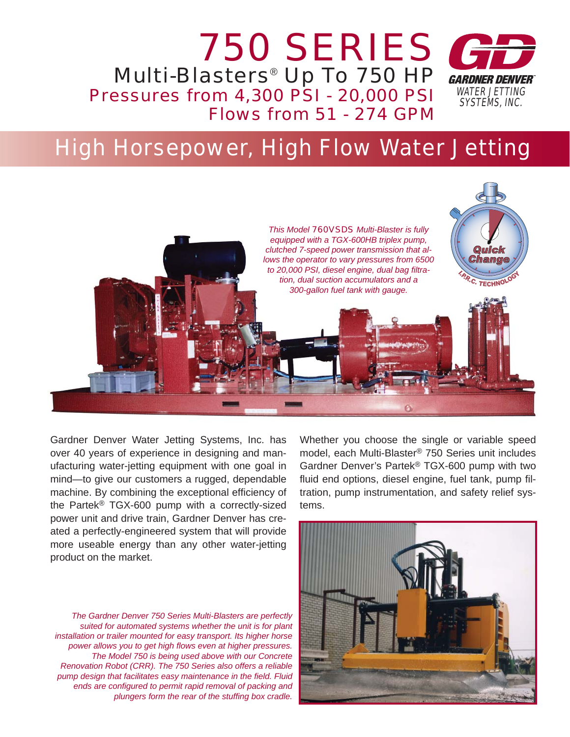

# High Horsepower, High Flow Water Jetting



Gardner Denver Water Jetting Systems, Inc. has over 40 years of experience in designing and manufacturing water-jetting equipment with one goal in mind—to give our customers a rugged, dependable machine. By combining the exceptional efficiency of the Partek® TGX-600 pump with a correctly-sized power unit and drive train, Gardner Denver has created a perfectly-engineered system that will provide more useable energy than any other water-jetting product on the market.

*The Gardner Denver 750 Series Multi-Blasters are perfectly suited for automated systems whether the unit is for plant installation or trailer mounted for easy transport. Its higher horse power allows you to get high fl ows even at higher pressures. The Model 750 is being used above with our Concrete Renovation Robot (CRR). The 750 Series also offers a reliable pump design that facilitates easy maintenance in the field. Fluid* ends are configured to permit rapid removal of packing and *plungers form the rear of the stuffing box cradle.* 

Whether you choose the single or variable speed model, each Multi-Blaster® 750 Series unit includes Gardner Denver's Partek® TGX-600 pump with two fluid end options, diesel engine, fuel tank, pump filtration, pump instrumentation, and safety relief systems.

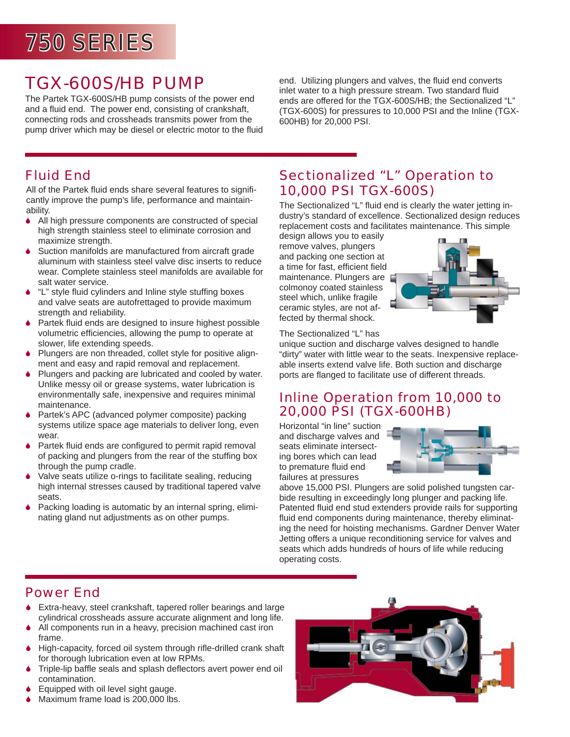# $750$  SERIES

## TGX-600S/HB PUMP

The Partek TGX-600S/HB pump consists of the power end and a fluid end. The power end, consisting of crankshaft, connecting rods and crossheads transmits power from the pump driver which may be diesel or electric motor to the fluid end. Utilizing plungers and valves, the fluid end converts inlet water to a high pressure stream. Two standard fluid ends are offered for the TGX-600S/HB; the Sectionalized "L" (TGX-600S) for pressures to 10,000 PSI and the Inline (TGX-600HB) for 20,000 PSI.

### Fluid End

All of the Partek fluid ends share several features to significantly improve the pump's life, performance and maintainability.

- 6 All high pressure components are constructed of special high strength stainless steel to eliminate corrosion and maximize strength.
- ♦ Suction manifolds are manufactured from aircraft grade aluminum with stainless steel valve disc inserts to reduce wear. Complete stainless steel manifolds are available for salt water service.
- "L" style fluid cylinders and Inline style stuffing boxes and valve seats are autofrettaged to provide maximum strength and reliability.
- $\blacklozenge$  Partek fluid ends are designed to insure highest possible volumetric efficiencies, allowing the pump to operate at slower, life extending speeds.
- 6 Plungers are non threaded, collet style for positive alignment and easy and rapid removal and replacement.
- 6 Plungers and packing are lubricated and cooled by water. Unlike messy oil or grease systems, water lubrication is environmentally safe, inexpensive and requires minimal maintenance.
- 6 Partek's APC (advanced polymer composite) packing systems utilize space age materials to deliver long, even wear.
- $\blacklozenge$  Partek fluid ends are configured to permit rapid removal of packing and plungers from the rear of the stuffing box through the pump cradle.
- Valve seats utilize o-rings to facilitate sealing, reducing high internal stresses caused by traditional tapered valve seats.
- Packing loading is automatic by an internal spring, eliminating gland nut adjustments as on other pumps.

### Sectionalized "L" Operation to 10,000 PSI TGX-600S)

The Sectionalized "L" fluid end is clearly the water jetting industry's standard of excellence. Sectionalized design reduces replacement costs and facilitates maintenance. This simple

design allows you to easily remove valves, plungers and packing one section at a time for fast, efficient field maintenance. Plungers are colmonoy coated stainless steel which, unlike fragile ceramic styles, are not affected by thermal shock.



The Sectionalized "L" has

unique suction and discharge valves designed to handle "dirty" water with little wear to the seats. Inexpensive replaceable inserts extend valve life. Both suction and discharge ports are flanged to facilitate use of different threads.

#### Inline Operation from 10,000 to 20,000 PSI (TGX-600HB)

Horizontal "in line" suction and discharge valves and seats eliminate intersecting bores which can lead to premature fluid end failures at pressures



above 15,000 PSI. Plungers are solid polished tungsten carbide resulting in exceedingly long plunger and packing life. Patented fluid end stud extenders provide rails for supporting fluid end components during maintenance, thereby eliminating the need for hoisting mechanisms. Gardner Denver Water Jetting offers a unique reconditioning service for valves and seats which adds hundreds of hours of life while reducing operating costs.

### Power End

- 6 Extra-heavy, steel crankshaft, tapered roller bearings and large cylindrical crossheads assure accurate alignment and long life.
- ◆ All components run in a heavy, precision machined cast iron frame.
- $\blacklozenge$  High-capacity, forced oil system through rifle-drilled crank shaft for thorough lubrication even at low RPMs.
- $\bullet$  Triple-lip baffle seals and splash deflectors avert power end oil contamination.
- 6 Equipped with oil level sight gauge.
- ◆ Maximum frame load is 200,000 lbs.

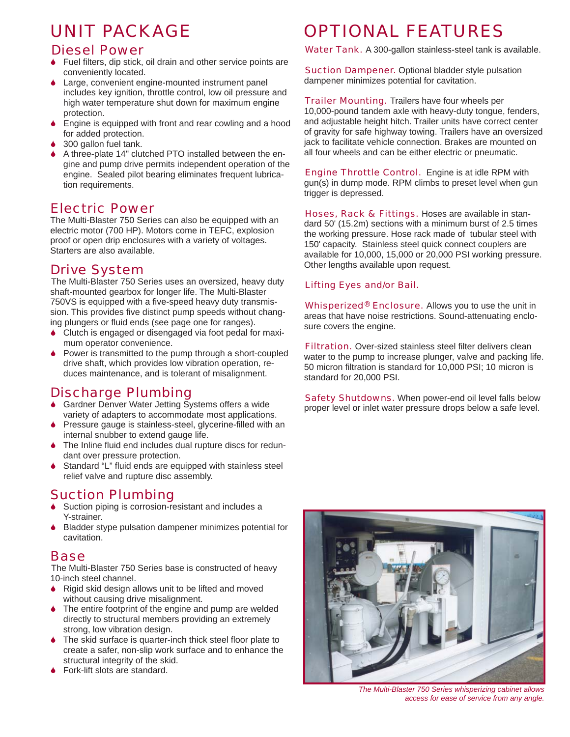## UNIT PACKAGE

#### Diesel Power

- $\bullet$  Fuel filters, dip stick, oil drain and other service points are conveniently located.
- Large, convenient engine-mounted instrument panel includes key ignition, throttle control, low oil pressure and high water temperature shut down for maximum engine protection.
- 6 Engine is equipped with front and rear cowling and a hood for added protection.
- 300 gallon fuel tank.
- 6 A three-plate 14" clutched PTO installed between the engine and pump drive permits independent operation of the engine. Sealed pilot bearing eliminates frequent lubrication requirements.

#### Electric Power

The Multi-Blaster 750 Series can also be equipped with an electric motor (700 HP). Motors come in TEFC, explosion proof or open drip enclosures with a variety of voltages. Starters are also available.

#### Drive System

The Multi-Blaster 750 Series uses an oversized, heavy duty shaft-mounted gearbox for longer life. The Multi-Blaster 750VS is equipped with a five-speed heavy duty transmission. This provides five distinct pump speeds without changing plungers or fluid ends (see page one for ranges).

- Clutch is engaged or disengaged via foot pedal for maximum operator convenience.
- Power is transmitted to the pump through a short-coupled drive shaft, which provides low vibration operation, reduces maintenance, and is tolerant of misalignment.

### Discharge Plumbing

- 6 Gardner Denver Water Jetting Systems offers a wide variety of adapters to accommodate most applications.
- Pressure gauge is stainless-steel, glycerine-filled with an internal snubber to extend gauge life.
- The Inline fluid end includes dual rupture discs for redundant over pressure protection.
- Standard "L" fluid ends are equipped with stainless steel relief valve and rupture disc assembly.

#### Suction Plumbing

- Suction piping is corrosion-resistant and includes a Y-strainer.
- 6 Bladder stype pulsation dampener minimizes potential for cavitation.

#### Base

The Multi-Blaster 750 Series base is constructed of heavy 10-inch steel channel.

- ♦ Rigid skid design allows unit to be lifted and moved without causing drive misalignment.
- The entire footprint of the engine and pump are welded directly to structural members providing an extremely strong, low vibration design.
- The skid surface is quarter-inch thick steel floor plate to create a safer, non-slip work surface and to enhance the structural integrity of the skid.
- Fork-lift slots are standard.

## OPTIONAL FEATURES

Water Tank. A 300-gallon stainless-steel tank is available.

**Suction Dampener.** Optional bladder style pulsation dampener minimizes potential for cavitation.

**Trailer Mounting.** Trailers have four wheels per 10,000-pound tandem axle with heavy-duty tongue, fenders, and adjustable height hitch. Trailer units have correct center of gravity for safe highway towing. Trailers have an oversized jack to facilitate vehicle connection. Brakes are mounted on all four wheels and can be either electric or pneumatic.

Engine Throttle Control. Engine is at idle RPM with gun(s) in dump mode. RPM climbs to preset level when gun trigger is depressed.

Hoses, Rack & Fittings. Hoses are available in standard 50' (15.2m) sections with a minimum burst of 2.5 times the working pressure. Hose rack made of tubular steel with 150' capacity. Stainless steel quick connect couplers are available for 10,000, 15,000 or 20,000 PSI working pressure. Other lengths available upon request.

#### Lifting Eyes and/or Bail.

Whisperized<sup>®</sup> Enclosure. Allows you to use the unit in areas that have noise restrictions. Sound-attenuating enclosure covers the engine.

**Filtration.** Over-sized stainless steel filter delivers clean water to the pump to increase plunger, valve and packing life. 50 micron filtration is standard for 10,000 PSI; 10 micron is standard for 20,000 PSI.

Safety Shutdowns. When power-end oil level falls below proper level or inlet water pressure drops below a safe level.



*The Multi-Blaster 750 Series whisperizing cabinet allows access for ease of service from any angle.*